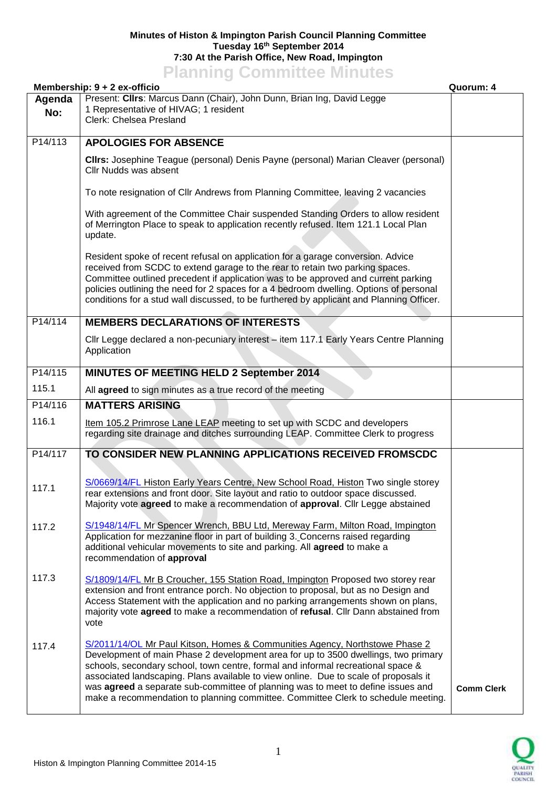## **Minutes of Histon & Impington Parish Council Planning Committee Tuesday 16th September 2014 7:30 At the Parish Office, New Road, Impington Planning Committee Minutes**

|         | <u>Lighting</u> commutes minutes<br>Membership: 9 + 2 ex-officio                                                                                                                                                                                                                                                                                                                                                                                                                                                       | Quorum: 4         |
|---------|------------------------------------------------------------------------------------------------------------------------------------------------------------------------------------------------------------------------------------------------------------------------------------------------------------------------------------------------------------------------------------------------------------------------------------------------------------------------------------------------------------------------|-------------------|
| Agenda  | Present: Clirs: Marcus Dann (Chair), John Dunn, Brian Ing, David Legge                                                                                                                                                                                                                                                                                                                                                                                                                                                 |                   |
| No:     | 1 Representative of HIVAG; 1 resident<br>Clerk: Chelsea Presland                                                                                                                                                                                                                                                                                                                                                                                                                                                       |                   |
| P14/113 | <b>APOLOGIES FOR ABSENCE</b>                                                                                                                                                                                                                                                                                                                                                                                                                                                                                           |                   |
|         | Cllrs: Josephine Teague (personal) Denis Payne (personal) Marian Cleaver (personal)<br>Cllr Nudds was absent                                                                                                                                                                                                                                                                                                                                                                                                           |                   |
|         | To note resignation of Cllr Andrews from Planning Committee, leaving 2 vacancies                                                                                                                                                                                                                                                                                                                                                                                                                                       |                   |
|         | With agreement of the Committee Chair suspended Standing Orders to allow resident<br>of Merrington Place to speak to application recently refused. Item 121.1 Local Plan<br>update.                                                                                                                                                                                                                                                                                                                                    |                   |
|         | Resident spoke of recent refusal on application for a garage conversion. Advice<br>received from SCDC to extend garage to the rear to retain two parking spaces.<br>Committee outlined precedent if application was to be approved and current parking<br>policies outlining the need for 2 spaces for a 4 bedroom dwelling. Options of personal<br>conditions for a stud wall discussed, to be furthered by applicant and Planning Officer.                                                                           |                   |
| P14/114 | <b>MEMBERS DECLARATIONS OF INTERESTS</b>                                                                                                                                                                                                                                                                                                                                                                                                                                                                               |                   |
|         | Cllr Legge declared a non-pecuniary interest - item 117.1 Early Years Centre Planning<br>Application                                                                                                                                                                                                                                                                                                                                                                                                                   |                   |
| P14/115 | MINUTES OF MEETING HELD 2 September 2014                                                                                                                                                                                                                                                                                                                                                                                                                                                                               |                   |
| 115.1   | All agreed to sign minutes as a true record of the meeting                                                                                                                                                                                                                                                                                                                                                                                                                                                             |                   |
| P14/116 | <b>MATTERS ARISING</b>                                                                                                                                                                                                                                                                                                                                                                                                                                                                                                 |                   |
| 116.1   | Item 105.2 Primrose Lane LEAP meeting to set up with SCDC and developers<br>regarding site drainage and ditches surrounding LEAP. Committee Clerk to progress                                                                                                                                                                                                                                                                                                                                                          |                   |
| P14/117 | TO CONSIDER NEW PLANNING APPLICATIONS RECEIVED FROMSCDC                                                                                                                                                                                                                                                                                                                                                                                                                                                                |                   |
| 117.1   | S/0669/14/FL Histon Early Years Centre, New School Road, Histon Two single storey<br>rear extensions and front door. Site layout and ratio to outdoor space discussed.<br>Majority vote agreed to make a recommendation of approval. Cllr Legge abstained                                                                                                                                                                                                                                                              |                   |
| 117.2   | S/1948/14/FL Mr Spencer Wrench, BBU Ltd, Mereway Farm, Milton Road, Impington<br>Application for mezzanine floor in part of building 3. Concerns raised regarding<br>additional vehicular movements to site and parking. All agreed to make a<br>recommendation of approval                                                                                                                                                                                                                                            |                   |
| 117.3   | S/1809/14/FL Mr B Croucher, 155 Station Road, Impington Proposed two storey rear<br>extension and front entrance porch. No objection to proposal, but as no Design and<br>Access Statement with the application and no parking arrangements shown on plans,<br>majority vote agreed to make a recommendation of refusal. Cllr Dann abstained from<br>vote                                                                                                                                                              |                   |
| 117.4   | S/2011/14/OL Mr Paul Kitson, Homes & Communities Agency, Northstowe Phase 2<br>Development of main Phase 2 development area for up to 3500 dwellings, two primary<br>schools, secondary school, town centre, formal and informal recreational space &<br>associated landscaping. Plans available to view online. Due to scale of proposals it<br>was agreed a separate sub-committee of planning was to meet to define issues and<br>make a recommendation to planning committee. Committee Clerk to schedule meeting. | <b>Comm Clerk</b> |